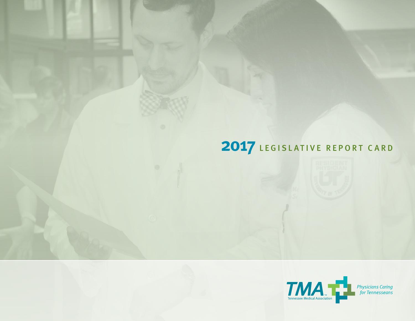# LEGISLATIVE REPORT CARD

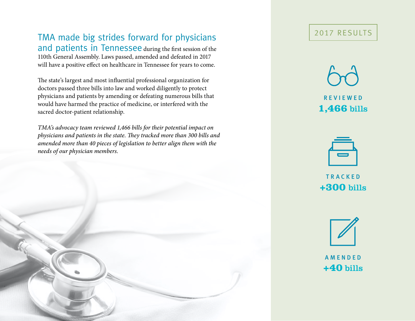# TMA made big strides forward for physicians and patients in Tennessee during the first session of the

110th General Assembly. Laws passed, amended and defeated in 2017 will have a positive effect on healthcare in Tennessee for years to come.

The state's largest and most influential professional organization for doctors passed three bills into law and worked diligently to protect physicians and patients by amending or defeating numerous bills that would have harmed the practice of medicine, or interfered with the sacred doctor-patient relationship.

*TMA's advocacy team reviewed 1,466 bills for their potential impact on physicians and patients in the state. They tracked more than 300 bills and amended more than 40 pieces of legislation to better align them with the needs of our physician members.*

# 2017 Results

r e v i e w e d **1,466** bills



**TRACKED +300** bills



**AMENDED +40** bills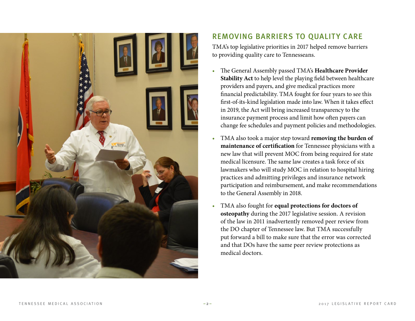

# Removing Barriers to Quality Care

TMA's top legislative priorities in 2017 helped remove barriers to providing quality care to Tennesseans.

- The General Assembly passed TMA's **Healthcare Provider Stability Act** to help level the playing field between healthcare providers and payers, and give medical practices more financial predictability. TMA fought for four years to see this first-of-its-kind legislation made into law. When it takes effect in 2019, the Act will bring increased transparency to the insurance payment process and limit how often payers can change fee schedules and payment policies and methodologies.
- TMA also took a major step toward **removing the burden of maintenance of certification** for Tennessee physicians with a new law that will prevent MOC from being required for state medical licensure. The same law creates a task force of six lawmakers who will study MOC in relation to hospital hiring practices and admitting privileges and insurance network participation and reimbursement, and make recommendations to the General Assembly in 2018.
- TMA also fought for **equal protections for doctors of osteopathy** during the 2017 legislative session. A revision of the law in 2011 inadvertently removed peer review from the DO chapter of Tennessee law. But TMA successfully put forward a bill to make sure that the error was corrected and that DOs have the same peer review protections as medical doctors.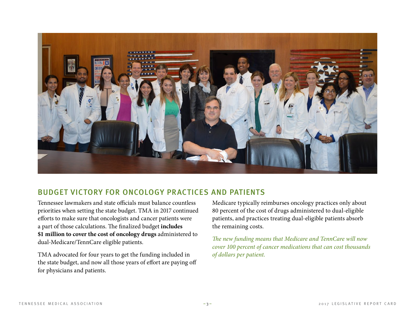

### Budget Victory for Oncology Practices and Patients

Tennessee lawmakers and state officials must balance countless priorities when setting the state budget. TMA in 2017 continued efforts to make sure that oncologists and cancer patients were a part of those calculations. The finalized budget **includes \$1 million to cover the cost of oncology drugs** administered to dual-Medicare/TennCare eligible patients.

TMA advocated for four years to get the funding included in the state budget, and now all those years of effort are paying off for physicians and patients.

Medicare typically reimburses oncology practices only about 80 percent of the cost of drugs administered to dual-eligible patients, and practices treating dual-eligible patients absorb the remaining costs.

*The new funding means that Medicare and TennCare will now cover 100 percent of cancer medications that can cost thousands of dollars per patient.*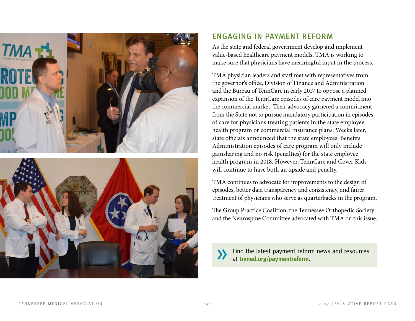



## Engaging in Payment Reform

As the state and federal government develop and implement value-based healthcare payment models, TMA is working to make sure that physicians have meaningful input in the process.

TMA physician leaders and staff met with representatives from the governor's office, Division of Finance and Administration and the Bureau of TennCare in early 2017 to oppose a planned expansion of the TennCare episodes of care payment model into the commercial market. Their advocacy garnered a commitment from the State not to pursue mandatory participation in episodes of care for physicians treating patients in the state employee health program or commercial insurance plans. Weeks later, state officials announced that the state employees' Benefits Administration episodes of care program will only include gainsharing and no risk (penalties) for the state employee health program in 2018. However, TennCare and Cover Kids will continue to have both an upside and penalty.

TMA continues to advocate for improvements to the design of episodes, better data transparency and consistency, and fairer treatment of physicians who serve as quarterbacks in the program.

The Group Practice Coalition, the Tennessee Orthopedic Society and the Neurospine Committee advocated with TMA on this issue.

 [Find the latest payment reform news and resources](https://www.tnmed.org/paymentreform)  at **tnmed.org/paymentreform**.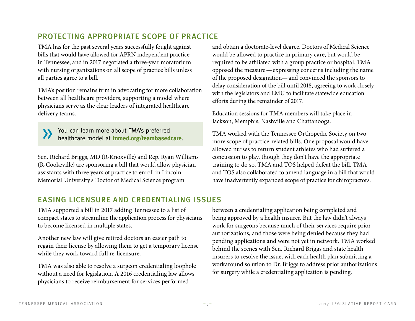# Protecting Appropriate Scope of Practice

TMA has for the past several years successfully fought against bills that would have allowed for APRN independent practice in Tennessee, and in 2017 negotiated a three-year moratorium with nursing organizations on all scope of practice bills unless all parties agree to a bill.

TMA's position remains firm in advocating for more collaboration between all healthcare providers, supporting a model where physicians serve as the clear leaders of integrated healthcare delivery teams.

 [You can learn more about TMA's preferred](https://www.tnmed.org/teambasedcare)  healthcare model at **tnmed.org/teambasedcare**.

Sen. Richard Briggs, MD (R-Knoxville) and Rep. Ryan Williams (R-Cookeville) are sponsoring a bill that would allow physician assistants with three years of practice to enroll in Lincoln Memorial University's Doctor of Medical Science program

and obtain a doctorate-level degree. Doctors of Medical Science would be allowed to practice in primary care, but would be required to be affiliated with a group practice or hospital. TMA opposed the measure—expressing concerns including the name of the proposed designation—and convinced the sponsors to delay consideration of the bill until 2018, agreeing to work closely with the legislators and LMU to facilitate statewide education efforts during the remainder of 2017.

Education sessions for TMA members will take place in Jackson, Memphis, Nashville and Chattanooga.

TMA worked with the Tennessee Orthopedic Society on two more scope of practice-related bills. One proposal would have allowed nurses to return student athletes who had suffered a concussion to play, though they don't have the appropriate training to do so. TMA and TOS helped defeat the bill. TMA and TOS also collaborated to amend language in a bill that would have inadvertently expanded scope of practice for chiropractors.

## Easing Licensure and Credentialing Issues

TMA supported a bill in 2017 adding Tennessee to a list of compact states to streamline the application process for physicians to become licensed in multiple states.

Another new law will give retired doctors an easier path to regain their license by allowing them to get a temporary license while they work toward full re-licensure.

TMA was also able to resolve a surgeon credentialing loophole without a need for legislation. A 2016 credentialing law allows physicians to receive reimbursement for services performed

between a credentialing application being completed and being approved by a health insurer. But the law didn't always work for surgeons because much of their services require prior authorizations, and those were being denied because they had pending applications and were not yet in network. TMA worked behind the scenes with Sen. Richard Briggs and state health insurers to resolve the issue, with each health plan submitting a workaround solution to Dr. Briggs to address prior authorizations for surgery while a credentialing application is pending.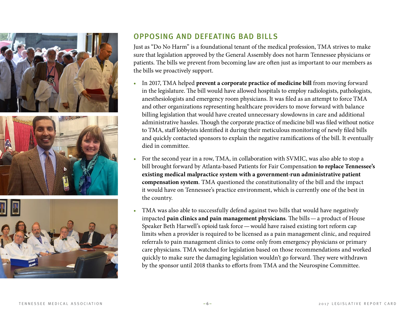





# Opposing and Defeating Bad Bills

Just as "Do No Harm" is a foundational tenant of the medical profession, TMA strives to make sure that legislation approved by the General Assembly does not harm Tennessee physicians or patients. The bills we prevent from becoming law are often just as important to our members as the bills we proactively support.

- In 2017, TMA helped **prevent a corporate practice of medicine bill** from moving forward in the legislature. The bill would have allowed hospitals to employ radiologists, pathologists, anesthesiologists and emergency room physicians. It was filed as an attempt to force TMA and other organizations representing healthcare providers to move forward with balance billing legislation that would have created unnecessary slowdowns in care and additional administrative hassles. Though the corporate practice of medicine bill was filed without notice to TMA, staff lobbyists identified it during their meticulous monitoring of newly filed bills and quickly contacted sponsors to explain the negative ramifications of the bill. It eventually died in committee.
- For the second year in a row, TMA, in collaboration with SVMIC, was also able to stop a bill brought forward by Atlanta-based Patients for Fair Compensation **to replace Tennessee's existing medical malpractice system with a government-run administrative patient compensation system**. TMA questioned the constitutionality of the bill and the impact it would have on Tennessee's practice environment, which is currently one of the best in the country.
- TMA was also able to successfully defend against two bills that would have negatively impacted **pain clinics and pain management physicians**. The bills—a product of House Speaker Beth Harwell's opioid task force—would have raised existing tort reform cap limits when a provider is required to be licensed as a pain management clinic, and required referrals to pain management clinics to come only from emergency physicians or primary care physicians. TMA watched for legislation based on those recommendations and worked quickly to make sure the damaging legislation wouldn't go forward. They were withdrawn by the sponsor until 2018 thanks to efforts from TMA and the Neurospine Committee.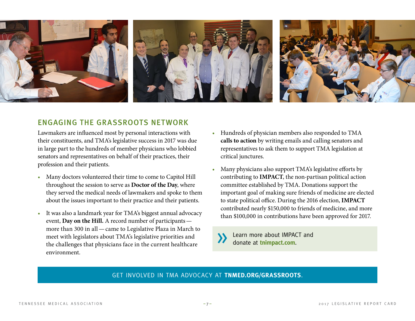

#### Engaging the Grassroots Network

Lawmakers are influenced most by personal interactions with their constituents, and TMA's legislative success in 2017 was due in large part to the hundreds of member physicians who lobbied senators and representatives on behalf of their practices, their profession and their patients.

- Many doctors volunteered their time to come to Capitol Hill throughout the session to serve as **Doctor of the Day**, where they served the medical needs of lawmakers and spoke to them about the issues important to their practice and their patients.
- It was also a landmark year for TMA's biggest annual advocacy event, **Day on the Hill.** A record number of participants more than 300 in all—came to Legislative Plaza in March to meet with legislators about TMA's legislative priorities and the challenges that physicians face in the current healthcare environment.
- Hundreds of physician members also responded to TMA **calls to action** by writing emails and calling senators and representatives to ask them to support TMA legislation at critical junctures.
- Many physicians also support TMA's legislative efforts by contributing to **IMPACT**, the non-partisan political action committee established by TMA. Donations support the important goal of making sure friends of medicine are elected to state political office. During the 2016 election, **IMPACT** contributed nearly \$150,000 to friends of medicine, and more than \$100,000 in contributions have been approved for 2017.

 [Learn more about IMPACT and](https://tnmed.org/grassroots)  donate at **tnimpact.com**.

#### Get involved in TMA advocacy at **[tnmed.org/grassroots](https://tnmed.org/grassroots)**.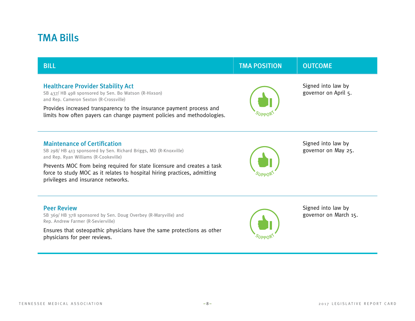# TMA Bills

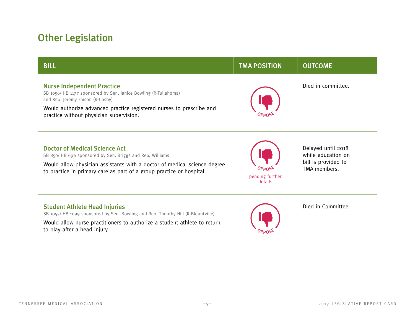# Other Legislation

| <b>BILL</b>                                                                                                                                                                                                                                                | <b>TMA POSITION</b>                        | <b>OUTCOME</b>                                                                  |
|------------------------------------------------------------------------------------------------------------------------------------------------------------------------------------------------------------------------------------------------------------|--------------------------------------------|---------------------------------------------------------------------------------|
| <b>Nurse Independent Practice</b><br>SB 1056/HB 1177 sponsored by Sen. Janice Bowling (R-Tullahoma)<br>and Rep. Jeremy Faison (R-Cosby)<br>Would authorize advanced practice registered nurses to prescribe and<br>practice without physician supervision. |                                            | Died in committee.                                                              |
| <b>Doctor of Medical Science Act</b><br>SB 850/HB 696 sponsored by Sen. Briggs and Rep. Williams<br>Would allow physician assistants with a doctor of medical science degree<br>to practice in primary care as part of a group practice or hospital.       | <b>OPPNS</b><br>pending further<br>details | Delayed until 2018<br>while education on<br>bill is provided to<br>TMA members. |

#### Student Athlete Head Injuries

SB 1055/ HB 1099 sponsored by Sen. Bowling and Rep. Timothy Hill (R-Blountville)

Would allow nurse practitioners to authorize a student athlete to return to play after a head injury.



Died in Committee.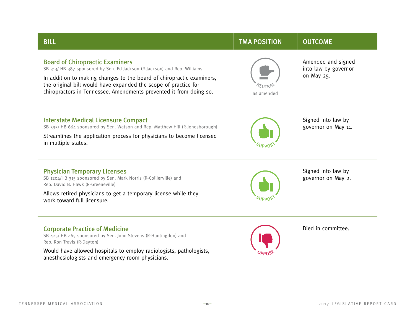| <b>BILL</b>                                                                                                                                                                                                                                                                                                                          | <b>TMA POSITION</b> | <b>OUTCOME</b>                                           |
|--------------------------------------------------------------------------------------------------------------------------------------------------------------------------------------------------------------------------------------------------------------------------------------------------------------------------------------|---------------------|----------------------------------------------------------|
| <b>Board of Chiropractic Examiners</b><br>SB 313/HB 387 sponsored by Sen. Ed Jackson (R-Jackson) and Rep. Williams<br>In addition to making changes to the board of chiropractic examiners,<br>the original bill would have expanded the scope of practice for<br>chiropractors in Tennessee. Amendments prevented it from doing so. | as amended          | Amended and signed<br>into law by governor<br>on May 25. |
| <b>Interstate Medical Licensure Compact</b><br>SB 595/HB 664 sponsored by Sen. Watson and Rep. Matthew Hill (R-Jonesborough)<br>Streamlines the application process for physicians to become licensed<br>in multiple states.                                                                                                         |                     | Signed into law by<br>governor on May 11.                |
| <b>Physician Temporary Licenses</b><br>SB 1204/HB 315 sponsored by Sen. Mark Norris (R-Collierville) and<br>Rep. David B. Hawk (R-Greeneville)<br>Allows retired physicians to get a temporary license while they<br>work toward full licensure.                                                                                     |                     | Signed into law by<br>governor on May 2.                 |
| <b>Corporate Practice of Medicine</b><br>SB 425/HB 465 sponsored by Sen. John Stevens (R-Huntingdon) and<br>Rep. Ron Travis (R-Dayton)<br>Would have allowed hospitals to employ radiologists, pathologists,<br>anesthesiologists and emergency room physicians.                                                                     |                     | Died in committee.                                       |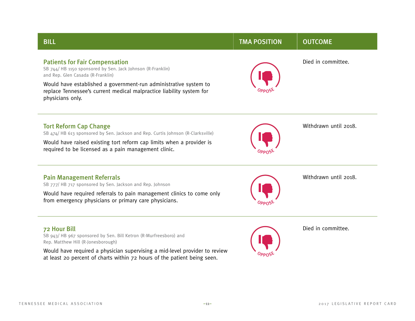SB 943/ HB 967 sponsored by Sen. Bill Ketron (R-Murfreesboro) and

Would have required a physician supervising a mid-level provider to review at least 20 percent of charts within 72 hours of the patient being seen.

Rep. Matthew Hill (R-Jonesborough)

| and Kep. Gien Casada (K-Franklin)                                                                                                                            |  |
|--------------------------------------------------------------------------------------------------------------------------------------------------------------|--|
| Would have established a government-run administrative system to<br>replace Tennessee's current medical malpractice liability system for<br>physicians only. |  |
| <b>Tort Reform Cap Change</b><br>SB 474/HB 613 sponsored by Sen. Jackson and Rep. Curtis Johnson (R-Clarksville)                                             |  |
| Would have raised existing tort reform cap limits when a provider is<br>required to be licensed as a pain management clinic.                                 |  |
| <b>Pain Management Referrals</b><br>SB 777/HB 717 sponsored by Sen. Jackson and Rep. Johnson                                                                 |  |
| Would have required referrals to pain management clinics to come only<br>from emergency physicians or primary care physicians.                               |  |
| 72 Hour Bill                                                                                                                                                 |  |

# Patients for Fair Compensation

SB 744/ HB 1150 sponsored by Sen. Jack Johnson (R-Franklin) and Rep. Glen Casada (R-Franklin)

#### Died in committee.



Withdrawn until 2018.

Withdrawn until 2018.

Died in committee.



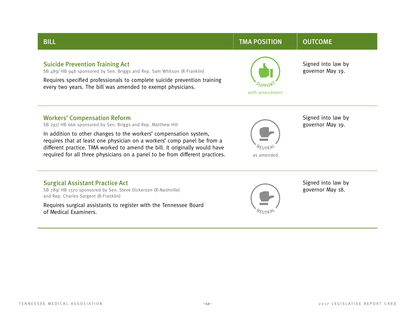

#### Workers' Compensation Reform

SB 297/ HB 666 sponsored by Sen. Briggs and Rep. Matthew Hill

In addition to other changes to the workers' compensation system, requires that at least one physician on a workers' comp panel be from a different practice. TMA worked to amend the bill. It originally would have required for all three physicians on a panel to be from different practices.



Signed into law by governor May 19.

Surgical Assistant Practice Act SB 789/ HB 1370 sponsored by Sen. Steve Dickerson (R-Nashville)

and Rep. Charles Sargent (R-Franklin)

Requires surgical assistants to register with the Tennessee Board of Medical Examiners.



Signed into law by governor May 18.